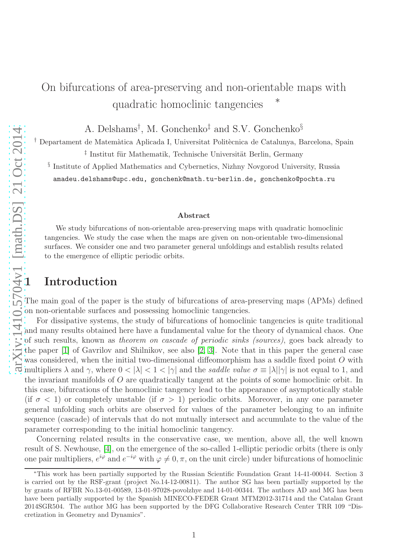# On bifurcations of area-preserving and non-orientable maps with quadratic homoclinic tangencies

A. Delshams† , M. Gonchenko‡ and S.V. Gonchenko§

<sup>†</sup> Departament de Matemàtica Aplicada I, Universitat Politècnica de Catalunya, Barcelona, Spain

<sup>‡</sup> Institut für Mathematik, Technische Universität Berlin, Germany

§ Institute of Applied Mathematics and Cybernetics, Nizhny Novgorod University, Russia amadeu.delshams@upc.edu, gonchenk@math.tu-berlin.de, gonchenko@pochta.ru

#### Abstract

We study bifurcations of non-orientable area-preserving maps with quadratic homoclinic tangencies. We study the case when the maps are given on non-orientable two-dimensional surfaces. We consider one and two parameter general unfoldings and establish results related to the emergence of elliptic periodic orbits.

The main goal of the paper is the study of bifurcations of area-preserving maps (APMs) defined on non-orientable surfaces and possessing homoclinic tangencies.

 $\frac{1}{10}$   $\frac{1}{10}$   $\frac{1}{10}$   $\frac{1}{10}$   $\frac{1}{10}$   $\frac{1}{10}$   $\frac{1}{10}$   $\frac{1}{10}$  anadeu.delshams@randeu.delshams@randeu.delshams@randeu.delshams@randeu.delshams@randeu.delshams@randeu.delshams@randeu.delshams@rande For dissipative systems, the study of bifurcations of homoclinic tangencies is quite traditional and many results obtained here have a fundamental value for the theory of dynamical chaos. One of such results, known as theorem on cascade of periodic sinks (sources), goes back already to the paper [\[1\]](#page-14-0) of Gavrilov and Shilnikov, see also [\[2,](#page-14-1) [3\]](#page-14-2). Note that in this paper the general case was considered, when the initial two-dimensional diffeomorphism has a saddle fixed point O with  $\frac{1}{\sqrt{2}}$  was considered, when the means one can be saddle value  $\sigma \equiv |\lambda||\gamma|$  is not equal to 1, and multipliers λ and γ, where  $0 < |\lambda| < 1 < |\gamma|$  and the saddle value  $\sigma \equiv |\lambda||\gamma|$  is not equal to 1, and the invariant manifolds of O are quadratically tangent at the points of some homoclinic orbit. In this case, bifurcations of the homoclinic tangency lead to the appearance of asymptotically stable (if  $\sigma$  < 1) or completely unstable (if  $\sigma > 1$ ) periodic orbits. Moreover, in any one parameter general unfolding such orbits are observed for values of the parameter belonging to an infinite sequence (cascade) of intervals that do not mutually intersect and accumulate to the value of the parameter corresponding to the initial homoclinic tangency.

Concerning related results in the conservative case, we mention, above all, the well known result of S. Newhouse, [\[4\]](#page-14-3), on the emergence of the so-called 1-elliptic periodic orbits (there is only one pair multipliers,  $e^{i\varphi}$  and  $e^{-i\varphi}$  with  $\varphi \neq 0, \pi$ , on the unit circle) under bifurcations of homoclinic

<sup>∗</sup>This work has been partially supported by the Russian Scientific Foundation Grant 14-41-00044. Section 3 is carried out by the RSF-grant (project No.14-12-00811). The author SG has been partially supported by the by grants of RFBR No.13-01-00589, 13-01-97028-povolzhye and 14-01-00344. The authors AD and MG has been have been partially supported by the Spanish MINECO-FEDER Grant MTM2012-31714 and the Catalan Grant 2014SGR504. The author MG has been supported by the DFG Collaborative Research Center TRR 109 "Discretization in Geometry and Dynamics".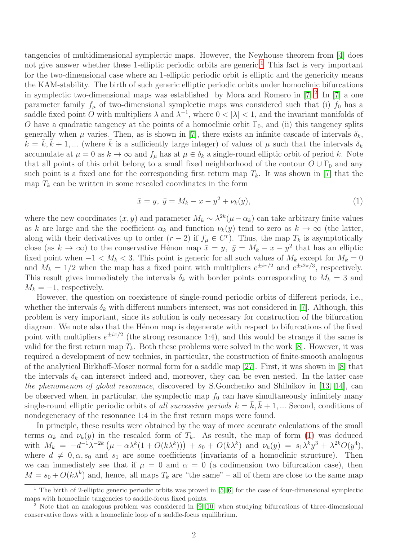tangencies of multidimensional symplectic maps. However, the Newhouse theorem from [\[4\]](#page-14-3) does not give answer whether these [1](#page-1-0)-elliptic periodic orbits are generic.<sup>1</sup> This fact is very important for the two-dimensional case where an 1-elliptic periodic orbit is elliptic and the genericity means the KAM-stability. The birth of such generic elliptic periodic orbits under homoclinic bifurcations in symplectic two-dimensional maps was established by Mora and Romero in  $[7].^2$  $[7].^2$  In  $[7]$  a one parameter family  $f_{\mu}$  of two-dimensional symplectic maps was considered such that (i)  $f_0$  has a saddle fixed point O with multipliers  $\lambda$  and  $\lambda^{-1}$ , where  $0 < |\lambda| < 1$ , and the invariant manifolds of O have a quadratic tangency at the points of a homoclinic orbit  $\Gamma_0$ , and (ii) this tangency splits generally when  $\mu$  varies. Then, as is shown in [\[7\]](#page-15-0), there exists an infinite cascade of intervals  $\delta_k$ ,  $k = \bar{k}, \bar{k} + 1, ...$  (where  $\bar{k}$  is a sufficiently large integer) of values of  $\mu$  such that the intervals  $\delta_k$ accumulate at  $\mu = 0$  as  $k \to \infty$  and  $f_{\mu}$  has at  $\mu \in \delta_k$  a single-round elliptic orbit of period k. Note that all points of this orbit belong to a small fixed neighborhood of the contour  $O \cup \Gamma_0$  and any such point is a fixed one for the corresponding first return map  $T_k$ . It was shown in [\[7\]](#page-15-0) that the map  $T_k$  can be written in some rescaled coordinates in the form

<span id="page-1-2"></span>
$$
\bar{x} = y, \ \bar{y} = M_k - x - y^2 + \nu_k(y), \tag{1}
$$

where the new coordinates  $(x, y)$  and parameter  $M_k \sim \lambda^{2k} (\mu - \alpha_k)$  can take arbitrary finite values as k are large and the the coefficient  $\alpha_k$  and function  $\nu_k(y)$  tend to zero as  $k \to \infty$  (the latter, along with their derivatives up to order  $(r-2)$  if  $f_{\mu} \in C^r$ ). Thus, the map  $T_k$  is asymptotically close (as  $k \to \infty$ ) to the conservative Hénon map  $\bar{x} = y$ ,  $\bar{y} = M_k - x - y^2$  that has an elliptic fixed point when  $-1 < M_k < 3$ . This point is generic for all such values of  $M_k$  except for  $M_k = 0$ and  $M_k = 1/2$  when the map has a fixed point with multipliers  $e^{\pm i\pi/2}$  and  $e^{\pm i2\pi/3}$ , respectively. This result gives immediately the intervals  $\delta_k$  with border points corresponding to  $M_k = 3$  and  $M_k = -1$ , respectively.

However, the question on coexistence of single-round periodic orbits of different periods, i.e., whether the intervals  $\delta_k$  with different numbers intersect, was not considered in [\[7\]](#page-15-0). Although, this problem is very important, since its solution is only necessary for construction of the bifurcation diagram. We note also that the Hénon map is degenerate with respect to bifurcations of the fixed point with multipliers  $e^{\pm i\pi/2}$  (the strong resonance 1:4), and this would be strange if the same is valid for the first return map  $T_k$ . Both these problems were solved in the work [\[8\]](#page-15-1). However, it was required a development of new technics, in particular, the construction of finite-smooth analogous of the analytical Birkhoff-Moser normal form for a saddle map [\[27\]](#page-16-0). First, it was shown in [\[8\]](#page-15-1) that the intervals  $\delta_k$  can intersect indeed and, moreover, they can be even nested. In the latter case the phenomenon of global resonance, discovered by S.Gonchenko and Shilnikov in [\[13,](#page-15-2) [14\]](#page-15-3), can be observed when, in particular, the symplectic map  $f_0$  can have simultaneously infinitely many single-round elliptic periodic orbits of all successive periods  $k = \overline{k}, \overline{k} + 1, ...$  Second, conditions of nondegeneracy of the resonance 1:4 in the first return maps were found.

In principle, these results were obtained by the way of more accurate calculations of the small terms  $\alpha_k$  and  $\nu_k(y)$  in the rescaled form of  $T_k$ . As result, the map of form [\(1\)](#page-1-2) was deduced with  $M_k = -d^{-1}\lambda^{-2k} \left( \mu - \alpha \lambda^k (1 + O(k\lambda^k)) \right) + s_0 + O(k\lambda^k)$  and  $\nu_k(y) = s_1 \lambda^k y^3 + \lambda^{2k} O(y^4)$ , where  $d \neq 0, \alpha, s_0$  and  $s_1$  are some coefficients (invariants of a homoclinic structure). Then we can immediately see that if  $\mu = 0$  and  $\alpha = 0$  (a codimension two bifurcation case), then  $M = s_0 + O(k\lambda^k)$  and, hence, all maps  $T_k$  are "the same" – all of them are close to the same map

<span id="page-1-0"></span><sup>&</sup>lt;sup>1</sup> The birth of 2-elliptic generic periodic orbits was proved in [\[5,](#page-15-4) [6\]](#page-15-5) for the case of four-dimensional symplectic maps with homoclinic tangencies to saddle-focus fixed points.

<span id="page-1-1"></span><sup>&</sup>lt;sup>2</sup> Note that an analogous problem was considered in [\[9,](#page-15-6) [10\]](#page-15-7) when studying bifurcations of three-dimensional conservative flows with a homoclinic loop of a saddle-focus equilibrium.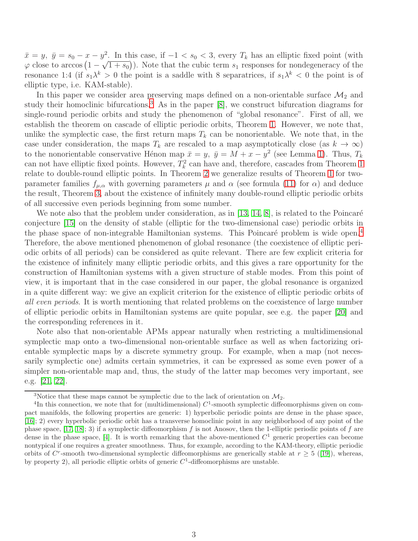$\bar{x} = y, \ \bar{y} = s_0 - x - y^2$ . In this case, if  $-1 < s_0 < 3$ , every  $T_k$  has an elliptic fixed point (with  $\varphi$  close to arccos  $(1 - \sqrt{1 + s_0})$ ). Note that the cubic term  $s_1$  responses for nondegeneracy of the resonance 1:4 (if  $s_1 \lambda^k > 0$  the point is a saddle with 8 separatrices, if  $s_1 \lambda^k < 0$  the point is of elliptic type, i.e. KAM-stable).

In this paper we consider area preserving maps defined on a non-orientable surface  $\mathcal{M}_2$  and study their homoclinic bifurcations.<sup>[3](#page-2-0)</sup> As in the paper  $[8]$ , we construct bifurcation diagrams for single-round periodic orbits and study the phenomenon of "global resonance". First of all, we establish the theorem on cascade of elliptic periodic orbits, Theorem [1.](#page-8-0) However, we note that, unlike the symplectic case, the first return maps  $T_k$  can be nonorientable. We note that, in the case under consideration, the maps  $T_k$  are rescaled to a map asymptotically close (as  $k \to \infty$ ) to the nonorientable conservative Hénon map  $\bar{x} = y$ ,  $\bar{y} = M + x - y^2$  (see Lemma [1\)](#page-10-0). Thus,  $T_k$ can not have elliptic fixed points. However,  $T_k^2$  can have and, therefore, cascades from Theorem [1](#page-8-0) relate to double-round elliptic points. In Theorem [2](#page-8-1) we generalize results of Theorem [1](#page-8-0) for twoparameter families  $f_{\mu,\alpha}$  with governing parameters  $\mu$  and  $\alpha$  (see formula [\(11\)](#page-7-0) for  $\alpha$ ) and deduce the result, Theorem [3,](#page-10-1) about the existence of infinitely many double-round elliptic periodic orbits of all successive even periods beginning from some number.

We note also that the problem under consideration, as in  $[13, 14, 8]$  $[13, 14, 8]$  $[13, 14, 8]$ , is related to the Poincaré conjecture [\[15\]](#page-15-8) on the density of stable (elliptic for the two-dimensional case) periodic orbits in the phase space of non-integrable Hamiltonian systems. This Poincaré problem is wide open.<sup>[4](#page-2-1)</sup> Therefore, the above mentioned phenomenon of global resonance (the coexistence of elliptic periodic orbits of all periods) can be considered as quite relevant. There are few explicit criteria for the existence of infinitely many elliptic periodic orbits, and this gives a rare opportunity for the construction of Hamiltonian systems with a given structure of stable modes. From this point of view, it is important that in the case considered in our paper, the global resonance is organized in a quite different way: we give an explicit criterion for the existence of elliptic periodic orbits of all even periods. It is worth mentioning that related problems on the coexistence of large number of elliptic periodic orbits in Hamiltonian systems are quite popular, see e.g. the paper [\[20\]](#page-16-1) and the corresponding references in it.

Note also that non-orientable APMs appear naturally when restricting a multidimensional symplectic map onto a two-dimensional non-orientable surface as well as when factorizing orientable symplectic maps by a discrete symmetry group. For example, when a map (not necessarily symplectic one) admits certain symmetries, it can be expressed as some even power of a simpler non-orientable map and, thus, the study of the latter map becomes very important, see e.g. [\[21,](#page-16-2) [22\]](#page-16-3).

<span id="page-2-0"></span><sup>&</sup>lt;sup>3</sup>Notice that these maps cannot be symplectic due to the lack of orientation on  $M_2$ .

<span id="page-2-1"></span> ${}^{4}$ In this connection, we note that for (multidimensional)  $C<sup>1</sup>$ -smooth symplectic diffeomorphisms given on compact manifolds, the following properties are generic: 1) hyperbolic periodic points are dense in the phase space, [\[16\]](#page-15-9); 2) every hyperbolic periodic orbit has a transverse homoclinic point in any neighborhood of any point of the phase space,  $[17, 18]$  $[17, 18]$ ; 3) if a symplectic diffeomorphism f is not Anosov, then the 1-elliptic periodic points of f are dense in the phase space, [\[4\]](#page-14-3). It is worth remarking that the above-mentioned  $C<sup>1</sup>$  generic properties can become nontypical if one requires a greater smoothness. Thus, for example, according to the KAM-theory, elliptic periodic orbitsof  $C^r$ -smooth two-dimensional symplectic diffeomorphisms are generically stable at  $r \geq 5$  ([\[19\]](#page-16-4)), whereas, by property 2), all periodic elliptic orbits of generic  $C<sup>1</sup>$ -diffeomorphisms are unstable.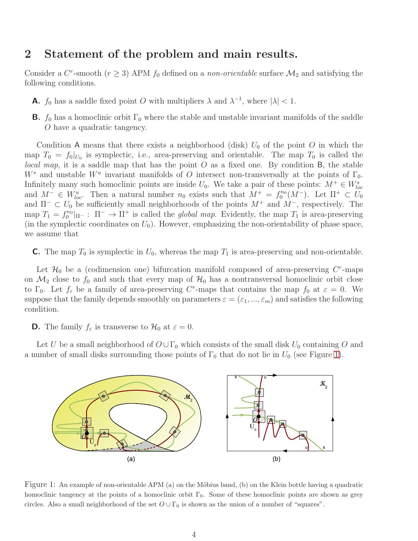## 2 Statement of the problem and main results.

Consider a C<sup>r</sup>-smooth ( $r \geq 3$ ) APM  $f_0$  defined on a *non-orientable* surface  $\mathcal{M}_2$  and satisfying the following conditions.

- **A.**  $f_0$  has a saddle fixed point O with multipliers  $\lambda$  and  $\lambda^{-1}$ , where  $|\lambda| < 1$ .
- **B.**  $f_0$  has a homoclinic orbit  $\Gamma_0$  where the stable and unstable invariant manifolds of the saddle O have a quadratic tangency.

Condition A means that there exists a neighborhood (disk)  $U_0$  of the point O in which the map  $T_0 = f_0|_{U_0}$  is symplectic, i.e., area-preserving and orientable. The map  $T_0$  is called the local map, it is a saddle map that has the point  $O$  as a fixed one. By condition  $B$ , the stable  $W^s$  and unstable  $W^u$  invariant manifolds of O intersect non-transversally at the points of  $\Gamma_0$ . Infinitely many such homoclinic points are inside  $U_0$ . We take a pair of these points:  $M^+ \in W^s_{loc}$ and  $M^- \in W_{loc}^u$ . Then a natural number  $n_0$  exists such that  $M^+ = f_0^{n_0}$  $C_0^{n_0}(M^-)$ . Let  $\Pi^+ \subset U_0$ and  $\Pi^- \subset U_0$  be sufficiently small neighborhoods of the points  $M^+$  and  $M^-$ , respectively. The map  $T_1 = f_0^{n_0}$  $\int_0^{n_0}$   $|_{\Pi^-}$ :  $\Pi^ \to \Pi^+$  is called the *global map*. Evidently, the map  $T_1$  is area-preserving (in the symplectic coordinates on  $U_0$ ). However, emphasizing the non-orientability of phase space, we assume that

**C.** The map  $T_0$  is symplectic in  $U_0$ , whereas the map  $T_1$  is area-preserving and non-orientable.

Let  $\mathcal{H}_0$  be a (codimension one) bifurcation manifold composed of area-preserving  $C^r$ -maps on  $\mathcal{M}_2$  close to  $f_0$  and such that every map of  $\mathcal{H}_0$  has a nontransversal homoclinic orbit close to  $\Gamma_0$ . Let  $f_\varepsilon$  be a family of area-preserving C<sup>r</sup>-maps that contains the map  $f_0$  at  $\varepsilon = 0$ . We suppose that the family depends smoothly on parameters  $\varepsilon = (\varepsilon_1, ..., \varepsilon_m)$  and satisfies the following condition.

**D.** The family  $f_{\varepsilon}$  is transverse to  $\mathcal{H}_0$  at  $\varepsilon = 0$ .

Let U be a small neighborhood of  $O \cup \Gamma_0$  which consists of the small disk  $U_0$  containing O and a number of small disks surrounding those points of  $\Gamma_0$  that do not lie in  $U_0$  (see Figure [1\)](#page-3-0).



<span id="page-3-0"></span>Figure 1: An example of non-orientable APM (a) on the Möbius band, (b) on the Klein bottle having a quadratic homoclinic tangency at the points of a homoclinic orbit  $\Gamma_0$ . Some of these homoclinic points are shown as grey circles. Also a small neighborhood of the set  $O \cup \Gamma_0$  is shown as the union of a number of "squares".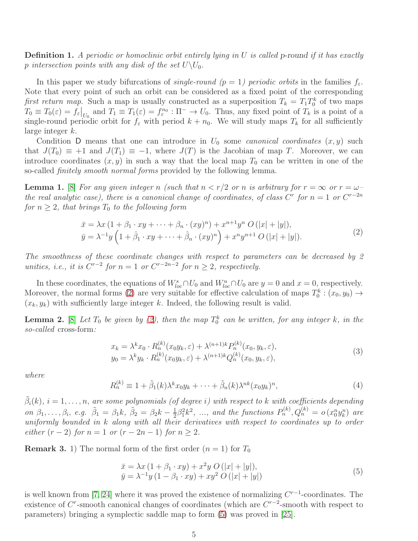**Definition 1.** A periodic or homoclinic orbit entirely lying in U is called p-round if it has exactly p intersection points with any disk of the set  $U\backslash U_0$ .

In this paper we study bifurcations of *single-round*  $(p = 1)$  periodic orbits in the families  $f_{\varepsilon}$ . Note that every point of such an orbit can be considered as a fixed point of the corresponding first return map. Such a map is usually constructed as a superposition  $T_k = T_1 T_0^k$  of two maps  $T_0 \equiv T_0(\varepsilon) = f_{\varepsilon}|_{U_0}$  and  $T_1 \equiv T_1(\varepsilon) = f_{\varepsilon}^{n_0} : \Pi^- \to U_0$ . Thus, any fixed point of  $T_k$  is a point of a single-round periodic orbit for  $f_{\varepsilon}$  with period  $k + n_0$ . We will study maps  $T_k$  for all sufficiently large integer k.

Condition D means that one can introduce in  $U_0$  some *canonical coordinates*  $(x, y)$  such that  $J(T_0) \equiv +1$  and  $J(T_1) \equiv -1$ , where  $J(T)$  is the Jacobian of map T. Moreover, we can introduce coordinates  $(x, y)$  in such a way that the local map  $T_0$  can be written in one of the so-called finitely smooth normal forms provided by the following lemma.

<span id="page-4-2"></span>**Lemma 1.** [\[8\]](#page-15-1) For any given integer n (such that  $n < r/2$  or n is arbitrary for  $r = \infty$  or  $r = \omega$ the real analytic case), there is a canonical change of coordinates, of class  $C^r$  for  $n = 1$  or  $C^{r-2n}$ for  $n \geq 2$ , that brings  $T_0$  to the following form

<span id="page-4-0"></span>
$$
\bar{x} = \lambda x (1 + \beta_1 \cdot xy + \dots + \beta_n \cdot (xy)^n) + x^{n+1} y^n O(|x| + |y|),
$$
  
\n
$$
\bar{y} = \lambda^{-1} y \left( 1 + \hat{\beta}_1 \cdot xy + \dots + \hat{\beta}_n \cdot (xy)^n \right) + x^n y^{n+1} O(|x| + |y|).
$$
\n(2)

The smoothness of these coordinate changes with respect to parameters can be decreased by 2 unities, i.e., it is  $C^{r-2}$  for  $n = 1$  or  $C^{r-2n-2}$  for  $n \geq 2$ , respectively.

In these coordinates, the equations of  $W^s_{loc} \cap U_0$  and  $W^u_{loc} \cap U_0$  are  $y = 0$  and  $x = 0$ , respectively. Moreover, the normal forms [\(2\)](#page-4-0) are very suitable for effective calculation of maps  $T_0^k$ :  $(x_0, y_0) \rightarrow$  $(x_k, y_k)$  with sufficiently large integer k. Indeed, the following result is valid.

**Lemma 2.** [\[8\]](#page-15-1) Let  $T_0$  be given by [\(2\)](#page-4-0), then the map  $T_0^k$  can be written, for any integer k, in the so-called cross-form:

<span id="page-4-3"></span>
$$
x_k = \lambda^k x_0 \cdot R_n^{(k)}(x_0 y_k, \varepsilon) + \lambda^{(n+1)k} P_n^{(k)}(x_0, y_k, \varepsilon),
$$
  
\n
$$
y_0 = \lambda^k y_k \cdot R_n^{(k)}(x_0 y_k, \varepsilon) + \lambda^{(n+1)k} Q_n^{(k)}(x_0, y_k, \varepsilon),
$$
\n(3)

where

$$
R_n^{(k)} \equiv 1 + \tilde{\beta}_1(k)\lambda^k x_0 y_k + \dots + \tilde{\beta}_n(k)\lambda^{nk} (x_0 y_k)^n,
$$
\n<sup>(4)</sup>

 $\tilde{\beta}_i(k), i=1,\ldots,n,$  are some polynomials (of degree i) with respect to k with coefficients depending on  $\beta_1, ..., \beta_i, e.g. \tilde{\beta}_1 = \beta_1 k, \tilde{\beta}_2 = \beta_2 k - \frac{1}{2}$  $\frac{1}{2}\beta_1^2 k^2$ , ..., and the functions  $P_n^{(k)}$ ,  $Q_n^{(k)} = o(x_0^n y_k^n)$  are uniformly bounded in k along with all their derivatives with respect to coordinates up to order either  $(r-2)$  for  $n=1$  or  $(r-2n-1)$  for  $n \geq 2$ .

**Remark 3.** 1) The normal form of the first order  $(n = 1)$  for  $T_0$ 

<span id="page-4-1"></span>
$$
\begin{aligned} \bar{x} &= \lambda x \left( 1 + \beta_1 \cdot xy \right) + x^2 y \ O\left(|x| + |y|\right), \\ \bar{y} &= \lambda^{-1} y \left( 1 - \beta_1 \cdot xy \right) + x y^2 \ O\left(|x| + |y|\right) \end{aligned} \tag{5}
$$

is well known from [\[7,](#page-15-0) [24\]](#page-16-5) where it was proved the existence of normalizing  $C^{r-1}$ -coordinates. The existence of  $C^r$ -smooth canonical changes of coordinates (which are  $C^{r-2}$ -smooth with respect to parameters) bringing a symplectic saddle map to form [\(5\)](#page-4-1) was proved in [\[25\]](#page-16-6).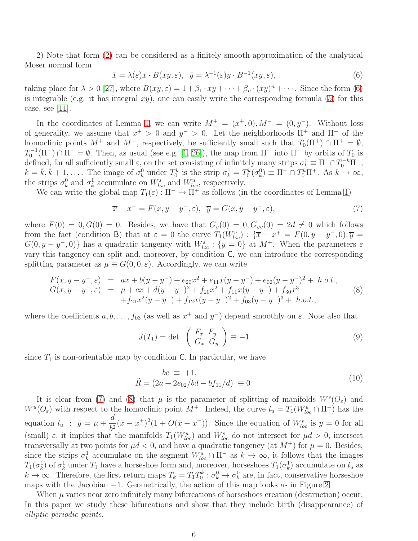2) Note that form [\(2\)](#page-4-0) can be considered as a finitely smooth approximation of the analytical Moser normal form

<span id="page-5-0"></span>
$$
\bar{x} = \lambda(\varepsilon)x \cdot B(xy, \varepsilon), \quad \bar{y} = \lambda^{-1}(\varepsilon)y \cdot B^{-1}(xy, \varepsilon), \tag{6}
$$

taking place for  $\lambda > 0$  [\[27\]](#page-16-0), where  $B(xy, \varepsilon) = 1 + \beta_1 \cdot xy + \cdots + \beta_n \cdot (xy)^n + \cdots$ . Since the form [\(6\)](#page-5-0) is integrable (e.g. it has integral  $xy$ ), one can easily write the corresponding formula [\(5\)](#page-4-1) for this case, see [\[11\]](#page-15-12).

In the coordinates of Lemma [1,](#page-4-2) we can write  $M^+ = (x^+,0), M^- = (0,y^-)$ . Without loss of generality, we assume that  $x^+ > 0$  and  $y^- > 0$ . Let the neighborhoods  $\Pi^+$  and  $\Pi^-$  of the homoclinic points  $M^+$  and  $M^-$ , respectively, be sufficiently small such that  $T_0(\Pi^+) \cap \Pi^+ = \emptyset$ ,  $T_0^{-1}(\Pi^-) \cap \Pi^- = \emptyset$ . Then, as usual (see e.g. [\[1,](#page-14-0) [26\]](#page-16-7)), the map from  $\Pi^+$  into  $\Pi^-$  by orbits of  $T_0$  is  $\theta$ defined, for all sufficiently small  $\varepsilon$ , on the set consisting of infinitely many strips  $\sigma_k^0 \equiv \Pi^+ \cap T_0^{-k} \Pi^-$ ,  $k = \bar{k}, \bar{k} + 1, \ldots$ . The image of  $\sigma_k^0$  under  $T_0^k$  is the strip  $\sigma_k^1 = T_0^k(\sigma_k^0) \equiv \Pi^- \cap T_0^k \Pi^+$ . As  $k \to \infty$ , the strips  $\sigma_k^0$  and  $\sigma_k^1$  accumulate on  $W_{loc}^s$  and  $W_{loc}^u$ , respectively.

We can write the global map  $T_1(\varepsilon): \Pi^- \to \Pi^+$  as follows (in the coordinates of Lemma [1\)](#page-4-2)

<span id="page-5-1"></span>
$$
\overline{x} - x^+ = F(x, y - y^-, \varepsilon), \quad \overline{y} = G(x, y - y^-, \varepsilon), \tag{7}
$$

where  $F(0) = 0, G(0) = 0$ . Besides, we have that  $G_y(0) = 0, G_{yy}(0) = 2d \neq 0$  which follows from the fact (condition B) that at  $\varepsilon = 0$  the curve  $T_1(W_{loc}^u)$ :  $\{\overline{x} - x^+ = F(0, y - y^-, 0), \overline{y} =$  $G(0, y - y^-, 0)$ } has a quadratic tangency with  $W_{loc}^s : {\bar{y} = 0}$  at  $M^+$ . When the parameters  $\varepsilon$ vary this tangency can split and, moreover, by condition C, we can introduce the corresponding splitting parameter as  $\mu \equiv G(0, 0, \varepsilon)$ . Accordingly, we can write

<span id="page-5-2"></span>
$$
F(x, y - y^-, \varepsilon) = ax + b(y - y^-) + e_{20}x^2 + e_{11}x(y - y^-) + e_{02}(y - y^-)^2 + h.o.t.,
$$
  
\n
$$
G(x, y - y^-, \varepsilon) = \mu + cx + d(y - y^-)^2 + f_{20}x^2 + f_{11}x(y - y^-) + f_{30}x^3 + f_{21}x^2(y - y^-) + f_{12}x(y - y^-)^2 + f_{03}(y - y^-)^3 + h.o.t.,
$$
\n(8)

where the coefficients  $a, b, \ldots, f_{03}$  (as well as  $x^+$  and  $y^-$ ) depend smoothly on  $\varepsilon$ . Note also that

$$
J(T_1) = \det \begin{pmatrix} F_x & F_y \\ G_x & G_y \end{pmatrix} \equiv -1 \tag{9}
$$

since  $T_1$  is non-orientable map by condition C. In particular, we have

<span id="page-5-3"></span>
$$
\begin{aligned}\nbc & \equiv +1, \\
\tilde{R} &= (2a + 2e_{02}/bd - bf_{11}/d) \equiv 0\n\end{aligned} \tag{10}
$$

It is clear from [\(7\)](#page-5-1) and [\(8\)](#page-5-2) that  $\mu$  is the parameter of splitting of manifolds  $W^{s}(O_{\varepsilon})$  and  $W^u(O_\varepsilon)$  with respect to the homoclinic point  $M^+$ . Indeed, the curve  $l_u = T_1(W^u_{loc} \cap \Pi^-)$  has the equation  $l_u$  :  $\bar{y} = \mu +$ d  $\frac{d}{b^2}(\bar{x} - x^+)^2(1 + O(\bar{x} - x^+)).$  Since the equation of  $W_{loc}^s$  is  $y = 0$  for all (small)  $\varepsilon$ , it implies that the manifolds  $T_1(W_{loc}^u)$  and  $W_{loc}^s$  do not intersect for  $\mu d > 0$ , intersect transversally at two points for  $\mu d < 0$ , and have a quadratic tangency (at  $M^+$ ) for  $\mu = 0$ . Besides, since the strips  $\sigma_k^1$  accumulate on the segment  $W_{loc}^u \cap \Pi^-$  as  $k \to \infty$ , it follows that the images  $T_1(\sigma_k^1)$  of  $\sigma_k^1$  under  $T_1$  have a horseshoe form and, moreover, horseshoes  $T_1(\sigma_k^1)$  accumulate on  $l_u$  as  $k \to \infty$ . Therefore, the first return maps  $T_k = T_1 T_0^k : \sigma_k^0 \to \sigma_k^0$  are, in fact, conservative horseshoe maps with the Jacobian −1. Geometrically, the action of this map looks as in Figure [2.](#page-6-0)

When  $\mu$  varies near zero infinitely many bifurcations of horseshoes creation (destruction) occur. In this paper we study these bifurcations and show that they include birth (disappearance) of elliptic periodic points.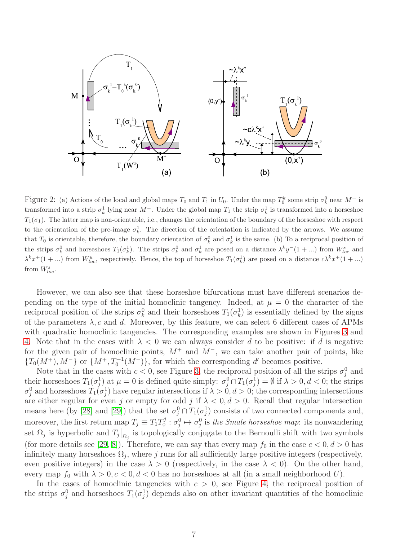

<span id="page-6-0"></span>Figure 2: (a) Actions of the local and global maps  $T_0$  and  $T_1$  in  $U_0$ . Under the map  $T_0^k$  some strip  $\sigma_k^0$  near  $M^+$  is transformed into a strip  $\sigma_k^1$  lying near  $M^-$ . Under the global map  $T_1$  the strip  $\sigma_k^1$  is transformed into a horseshoe  $T_1(\sigma_1)$ . The latter map is non-orientable, i.e., changes the orientation of the boundary of the horseshoe with respect to the orientation of the pre-image  $\sigma_k^1$ . The direction of the orientation is indicated by the arrows. We assume that  $T_0$  is orientable, therefore, the boundary orientation of  $\sigma_k^0$  and  $\sigma_k^1$  is the same. (b) To a reciprocal position of the strips  $\sigma_k^0$  and horseshoes  $T_1(\sigma_k^1)$ . The strips  $\sigma_k^0$  and  $\sigma_k^1$  are posed on a distance  $\lambda^k y^{-1}$ ,  $\ldots$ ) from  $W_{loc}^s$  and  $\lambda^k x^+(1+\ldots)$  from  $W^u_{loc}$ , respectively. Hence, the top of horseshoe  $T_1(\sigma_k^1)$  are posed on a distance  $c\lambda^k x^+(1+\ldots)$ from  $W_{loc}^s$ .

However, we can also see that these horseshoe bifurcations must have different scenarios depending on the type of the initial homoclinic tangency. Indeed, at  $\mu = 0$  the character of the reciprocal position of the strips  $\sigma_k^0$  and their horseshoes  $T_1(\sigma_k^1)$  is essentially defined by the signs of the parameters  $\lambda$ , c and d. Moreover, by this feature, we can select 6 different cases of APMs with quadratic homoclinic tangencies. The corresponding examples are shown in Figures [3](#page-7-1) and [4.](#page-7-2) Note that in the cases with  $\lambda < 0$  we can always consider d to be positive: if d is negative for the given pair of homoclinic points,  $M^+$  and  $M^-$ , we can take another pair of points, like  ${T_0(M^+), M^-}$  or  ${M^+, T_0^{-1}(M^-)}$ , for which the corresponding d' becomes positive.

Note that in the cases with  $c < 0$ , see Figure [3,](#page-7-1) the reciprocal position of all the strips  $\sigma_j^0$  and their horseshoes  $T_1(\sigma_j^1)$  at  $\mu = 0$  is defined quite simply:  $\sigma_j^0 \cap T_1(\sigma_j^1) = \emptyset$  if  $\lambda > 0, d < 0$ ; the strips  $\sigma_j^0$  and horseshoes  $T_1(\sigma_j^1)$  have regular intersections if  $\lambda > 0, d > 0$ ; the corresponding intersections are either regular for even j or empty for odd j if  $\lambda < 0, d > 0$ . Recall that regular intersection means here (by [\[28\]](#page-16-8) and [\[29\]](#page-16-9)) that the set  $\sigma_j^0 \cap T_1(\sigma_j^1)$  consists of two connected components and, moreover, the first return map  $T_j \equiv T_1 T_0^j$  $\sigma_0^j : \sigma_j^0 \mapsto \sigma_j^0$  is the *Smale horseshoe map*: its nonwandering set  $\Omega_j$  is hyperbolic and  $T_j|_{\Omega_j}$  is topologically conjugate to the Bernoulli shift with two symbols (for more details see [\[29,](#page-16-9) [8\]](#page-15-1)). Therefore, we can say that every map  $f_0$  in the case  $c < 0, d > 0$  has infinitely many horseshoes  $\Omega_j$ , where j runs for all sufficiently large positive integers (respectively, even positive integers) in the case  $\lambda > 0$  (respectively, in the case  $\lambda < 0$ ). On the other hand, every map  $f_0$  with  $\lambda > 0, c < 0, d < 0$  has no horseshoes at all (in a small neighborhood U).

In the cases of homoclinic tangencies with  $c > 0$ , see Figure [4,](#page-7-2) the reciprocal position of the strips  $\sigma_j^0$  and horseshoes  $T_1(\sigma_j^1)$  depends also on other invariant quantities of the homoclinic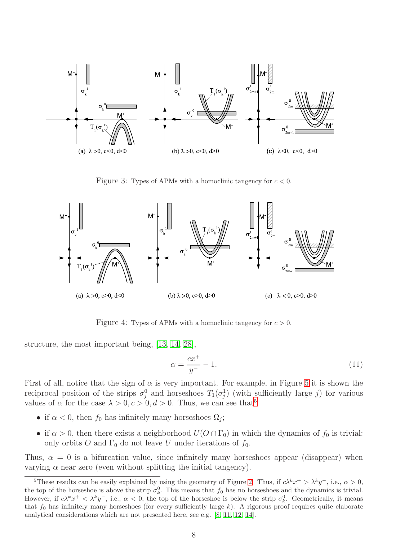

<span id="page-7-1"></span>Figure 3: Types of APMs with a homoclinic tangency for  $c < 0$ .



<span id="page-7-2"></span>Figure 4: Types of APMs with a homoclinic tangency for  $c > 0$ .

structure, the most important being, [\[13,](#page-15-2) [14,](#page-15-3) [28\]](#page-16-8),

<span id="page-7-0"></span>
$$
\alpha = \frac{cx^+}{y^-} - 1.\tag{11}
$$

First of all, notice that the sign of  $\alpha$  is very important. For example, in Figure [5](#page-8-2) it is shown the reciprocal position of the strips  $\sigma_j^0$  and horseshoes  $T_1(\sigma_j^1)$  (with sufficiently large j) for various values of  $\alpha$  for the case  $\lambda > 0, c > 0, d > 0$ . Thus, we can see that<sup>[5](#page-7-3)</sup>

- if  $\alpha < 0$ , then  $f_0$  has infinitely many horseshoes  $\Omega_j$ ;
- if  $\alpha > 0$ , then there exists a neighborhood  $U(O \cap \Gamma_0)$  in which the dynamics of  $f_0$  is trivial: only orbits O and  $\Gamma_0$  do not leave U under iterations of  $f_0$ .

Thus,  $\alpha = 0$  is a bifurcation value, since infinitely many horseshoes appear (disappear) when varying  $\alpha$  near zero (even without splitting the initial tangency).

<span id="page-7-3"></span><sup>&</sup>lt;sup>5</sup>These results can be easily explained by using the geometry of Figure [2.](#page-6-0) Thus, if  $c\lambda^k x^+ > \lambda^k y^-$ , i.e.,  $\alpha > 0$ , the top of the horseshoe is above the strip  $\sigma_k^0$ . This means that  $f_0$  has no horseshoes and the dynamics is trivial. However, if  $c\lambda^k x^+ < \lambda^k y^-$ , i.e.,  $\alpha < 0$ , the top of the horseshoe is below the strip  $\sigma_k^0$ . Geometrically, it means that  $f_0$  has infinitely many horseshoes (for every sufficiently large  $k$ ). A rigorous proof requires quite elaborate analytical considerations which are not presented here, see e.g. [\[8,](#page-15-1) [11,](#page-15-12) [12,](#page-15-13) [14\]](#page-15-3).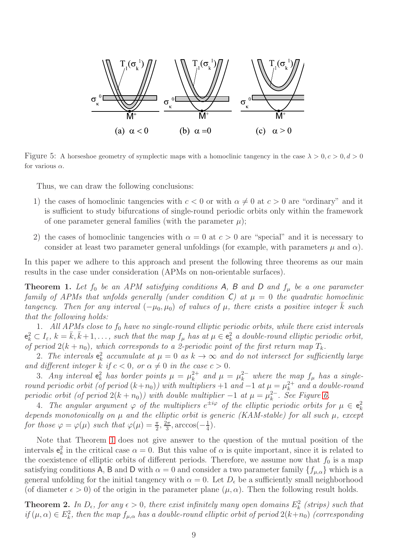

Figure 5: A horseshoe geometry of symplectic maps with a homoclinic tangency in the case  $\lambda > 0, c > 0, d > 0$ for various  $\alpha$ .

<span id="page-8-2"></span>Thus, we can draw the following conclusions:

- 1) the cases of homoclinic tangencies with  $c < 0$  or with  $\alpha \neq 0$  at  $c > 0$  are "ordinary" and it is sufficient to study bifurcations of single-round periodic orbits only within the framework of one parameter general families (with the parameter  $\mu$ );
- 2) the cases of homoclinic tangencies with  $\alpha = 0$  at  $c > 0$  are "special" and it is necessary to consider at least two parameter general unfoldings (for example, with parameters  $\mu$  and  $\alpha$ ).

In this paper we adhere to this approach and present the following three theorems as our main results in the case under consideration (APMs on non-orientable surfaces).

<span id="page-8-0"></span>**Theorem 1.** Let  $f_0$  be an APM satisfying conditions A, B and D and  $f_\mu$  be a one parameter family of APMs that unfolds generally (under condition C) at  $\mu = 0$  the quadratic homoclinic tangency. Then for any interval  $(-\mu_0, \mu_0)$  of values of  $\mu$ , there exists a positive integer k such that the following holds:

1. All APMs close to  $f_0$  have no single-round elliptic periodic orbits, while there exist intervals  $e_k^2 \subset I_\varepsilon$ ,  $k = \overline{k}, \overline{k+1}, \ldots$ , such that the map  $f_\mu$  has at  $\mu \in e_k^2$  a double-round elliptic periodic orbit, of period  $2(k + n_0)$ , which corresponds to a 2-periodic point of the first return map  $T_k$ .

2. The intervals  $e_k^2$  accumulate at  $\mu = 0$  as  $k \to \infty$  and do not intersect for sufficiently large and different integer k if  $c < 0$ , or  $\alpha \neq 0$  in the case  $c > 0$ .

3. Any interval  $e_k^2$  has border points  $\mu = \mu_k^{2+}$  $k_k^{2+}$  and  $\mu = \mu_k^{2-}$  where the map  $f_\mu$  has a singleround periodic orbit (of period  $(k+n_0)$ ) with multipliers +1 and -1 at  $\mu = \mu_k^{2+}$  $a_k^{2+}$  and a double-round periodic orbit (of period  $2(k + n_0)$ ) with double multiplier  $-1$  at  $\mu = \mu_k^{2-}$ . See Figure [6.](#page-9-0)

4. The angular argument  $\varphi$  of the multipliers  $e^{\pm i\varphi}$  of the elliptic periodic orbits for  $\mu \in \mathbf{e}_k^2$ depends monotonically on  $\mu$  and the elliptic orbit is generic (KAM-stable) for all such  $\mu$ , except for those  $\varphi = \varphi(\mu)$  such that  $\varphi(\mu) = \frac{\pi}{2}, \frac{2\pi}{3}$  $\frac{2\pi}{3}$ , arccos $\left(-\frac{1}{4}\right)$  $(\frac{1}{4})$ .

Note that Theorem [1](#page-8-0) does not give answer to the question of the mutual position of the intervals  $e_k^2$  in the critical case  $\alpha = 0$ . But this value of  $\alpha$  is quite important, since it is related to the coexistence of elliptic orbits of different periods. Therefore, we assume now that  $f_0$  is a map satisfying conditions A, B and D with  $\alpha = 0$  and consider a two parameter family  $\{f_{\mu,\alpha}\}\$  which is a general unfolding for the initial tangency with  $\alpha = 0$ . Let  $D_{\epsilon}$  be a sufficiently small neighborhood (of diameter  $\epsilon > 0$ ) of the origin in the parameter plane  $(\mu, \alpha)$ . Then the following result holds.

<span id="page-8-1"></span>**Theorem 2.** In  $D_{\epsilon}$ , for any  $\epsilon > 0$ , there exist infinitely many open domains  $E_k^2$  (strips) such that if  $(\mu, \alpha) \in E_k^2$ , then the map  $f_{\mu, \alpha}$  has a double-round elliptic orbit of period  $2(k+n_0)$  (corresponding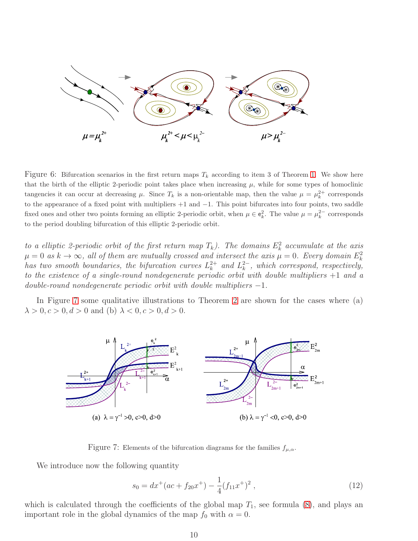

<span id="page-9-0"></span>Figure 6: Bifurcation scenarios in the first return maps  $T_k$  according to item 3 of Theorem [1.](#page-8-0) We show here that the birth of the elliptic 2-periodic point takes place when increasing  $\mu$ , while for some types of homoclinic tangencies it can occur at decreasing  $\mu$ . Since  $T_k$  is a non-orientable map, then the value  $\mu = \mu_k^{2+}$  corresponds to the appearance of a fixed point with multipliers +1 and −1. This point bifurcates into four points, two saddle fixed ones and other two points forming an elliptic 2-periodic orbit, when  $\mu \in \mathbf{e}_k^2$ . The value  $\mu = \mu_k^{2-}$  corresponds to the period doubling bifurcation of this elliptic 2-periodic orbit.

to a elliptic 2-periodic orbit of the first return map  $T_k$ ). The domains  $E_k^2$  accumulate at the axis  $\mu = 0$  as  $k \to \infty$ , all of them are mutually crossed and intersect the axis  $\mu = 0$ . Every domain  $E_k^2$ has two smooth boundaries, the bifurcation curves  $L_k^{2+}$  $k<sup>2+</sup>$  and  $L<sup>2-</sup>$ , which correspond, respectively, to the existence of a single-round nondegenerate periodic orbit with double multipliers +1 and a  $double$ -round nondegenerate periodic orbit with double multipliers  $-1$ .

In Figure [7](#page-9-1) some qualitative illustrations to Theorem [2](#page-8-1) are shown for the cases where (a)  $\lambda > 0, c > 0, d > 0$  and (b)  $\lambda < 0, c > 0, d > 0$ .



Figure 7: Elements of the bifurcation diagrams for the families  $f_{\mu,\alpha}$ .

We introduce now the following quantity

<span id="page-9-2"></span><span id="page-9-1"></span>
$$
s_0 = dx^+(ac + f_{20}x^+) - \frac{1}{4}(f_{11}x^+)^2 \,, \tag{12}
$$

which is calculated through the coefficients of the global map  $T_1$ , see formula [\(8\)](#page-5-2), and plays an important role in the global dynamics of the map  $f_0$  with  $\alpha = 0$ .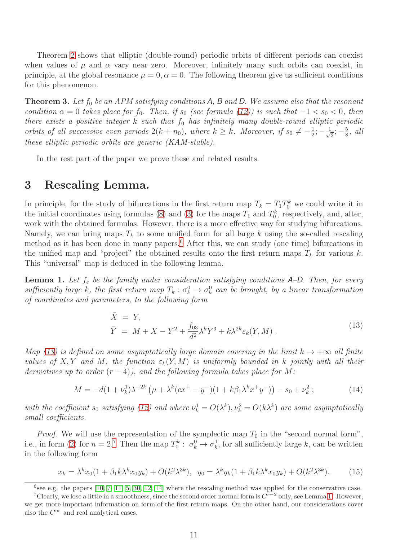Theorem [2](#page-8-1) shows that elliptic (double-round) periodic orbits of different periods can coexist when values of  $\mu$  and  $\alpha$  vary near zero. Moreover, infinitely many such orbits can coexist, in principle, at the global resonance  $\mu = 0$ ,  $\alpha = 0$ . The following theorem give us sufficient conditions for this phenomenon.

<span id="page-10-1"></span>**Theorem 3.** Let  $f_0$  be an APM satisfying conditions A, B and D. We assume also that the resonant condition  $\alpha = 0$  takes place for f<sub>0</sub>. Then, if s<sub>0</sub> (see formula [\(12\)](#page-9-2)) is such that  $-1 < s_0 < 0$ , then there exists a positive integer  $\bar{k}$  such that  $f_0$  has infinitely many double-round elliptic periodic orbits of all successive even periods  $2(k + n_0)$ , where  $k \ge \bar{k}$ . Moreover, if  $s_0 \ne -\frac{1}{2}$  $\frac{1}{2}$ ;  $-\frac{1}{\sqrt{2}}$  $\frac{1}{2}$ ;  $-\frac{5}{8}$  $\frac{5}{8}$ , all these elliptic periodic orbits are generic (KAM-stable).

In the rest part of the paper we prove these and related results.

## 3 Rescaling Lemma.

In principle, for the study of bifurcations in the first return map  $T_k = T_1 T_0^k$  we could write it in the initial coordinates using formulas [\(8\)](#page-5-2) and [\(3\)](#page-4-3) for the maps  $T_1$  and  $T_0^k$ , respectively, and, after, work with the obtained formulas. However, there is a more effective way for studying bifurcations. Namely, we can bring maps  $T_k$  to some unified form for all large k using the so-called rescaling method as it has been done in many papers.<sup>[6](#page-10-2)</sup> After this, we can study (one time) bifurcations in the unified map and "project" the obtained results onto the first return maps  $T_k$  for various k. This "universal" map is deduced in the following lemma.

**Lemma 1.** Let  $f_{\varepsilon}$  be the family under consideration satisfying conditions A–D. Then, for every sufficiently large k, the first return map  $T_k: \sigma_k^0 \to \sigma_k^0$  can be brought, by a linear transformation of coordinates and parameters, to the following form

<span id="page-10-3"></span>
$$
\bar{X} = Y,
$$
\n
$$
\bar{Y} = M + X - Y^2 + \frac{f_{03}}{d^2} \lambda^k Y^3 + k \lambda^{2k} \varepsilon_k (Y, M).
$$
\n(13)

Map [\(13\)](#page-10-3) is defined on some asymptotically large domain covering in the limit  $k \to +\infty$  all finite values of X, Y and M, the function  $\varepsilon_k(Y, M)$  is uniformly bounded in k jointly with all their derivatives up to order  $(r - 4)$ , and the following formula takes place for M:

<span id="page-10-0"></span>
$$
M = -d(1 + \nu_k^1)\lambda^{-2k} \left(\mu + \lambda^k (cx^+ - y^-)(1 + k\beta_1 \lambda^k x^+ y^-)\right) - s_0 + \nu_k^2 \; ; \tag{14}
$$

with the coefficient  $s_0$  satisfying [\(12\)](#page-9-2) and where  $\nu_k^1 = O(\lambda^k)$ ,  $\nu_k^2 = O(k\lambda^k)$  are some asymptotically small coefficients.

*Proof.* We will use the representation of the symplectic map  $T_0$  in the "second normal form", i.e., in form [\(2\)](#page-4-0) for  $n = 2$ .<sup>[7](#page-10-4)</sup> Then the map  $T_0^k$ :  $\sigma_k^0 \to \sigma_k^1$ , for all sufficiently large k, can be written in the following form

<span id="page-10-5"></span>
$$
x_k = \lambda^k x_0 (1 + \beta_1 k \lambda^k x_0 y_k) + O(k^2 \lambda^{3k}), \ \ y_0 = \lambda^k y_k (1 + \beta_1 k \lambda^k x_0 y_k) + O(k^2 \lambda^{3k}). \tag{15}
$$

<span id="page-10-2"></span> $6$ see e.g. the papers  $[10, 7, 11, 5, 30, 12, 14]$  $[10, 7, 11, 5, 30, 12, 14]$  $[10, 7, 11, 5, 30, 12, 14]$  $[10, 7, 11, 5, 30, 12, 14]$  $[10, 7, 11, 5, 30, 12, 14]$  $[10, 7, 11, 5, 30, 12, 14]$  $[10, 7, 11, 5, 30, 12, 14]$  where the rescaling method was applied for the conservative case.

<span id="page-10-4"></span><sup>&</sup>lt;sup>7</sup>Clearly, we lose a little in a smoothness, since the second order normal form is  $C^{r-2}$  only, see Lemma [1.](#page-4-2) However, we get more important information on form of the first return maps. On the other hand, our considerations cover also the  $C^{\infty}$  and real analytical cases.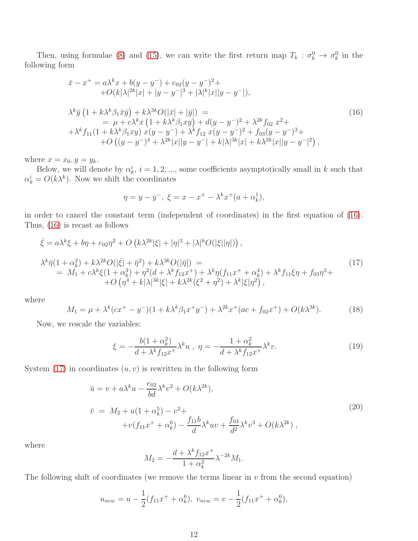Then, using formulae [\(8\)](#page-5-2) and [\(15\)](#page-10-5), we can write the first return map  $T_k$ :  $\sigma_k^0 \to \sigma_k^0$  in the following form

<span id="page-11-0"></span>
$$
\begin{split}\n\bar{x} - x^+ &= a\lambda^k x + b(y - y^-) + e_{02}(y - y^-)^2 + \\
&\quad + O(k|\lambda|^{2k}|x| + |y - y^-|^3 + |\lambda|^k|x||y - y^-|), \\
\lambda^k \bar{y} \left(1 + k\lambda^k \beta_1 \bar{x} \bar{y}\right) + k\lambda^{3k} O(|\bar{x}| + |\bar{y}|) \\
&= \mu + c\lambda^k x \left(1 + k\lambda^k \beta_1 xy\right) + d(y - y^-)^2 + \lambda^{2k} f_{02} \ x^2 + \\
&\quad + \lambda^k f_{11} (1 + k\lambda^k \beta_1 xy) \ x(y - y^-) + \lambda^k f_{12} \ x(y - y^-)^2 + f_{03}(y - y^-)^3 + \\
&\quad + O\left((y - y^-)^4 + \lambda^{2k}|x||y - y^-| + k|\lambda|^{3k}|x| + k\lambda^{2k}|x||y - y^-|^2\right),\n\end{split} \tag{16}
$$

where  $x = x_0, y = y_k$ .

Below, we will denote by  $\alpha_k^i$ ,  $i = 1, 2, ...,$  some coefficients asymptotically small in k such that  $\alpha_k^i = O(k\lambda^k)$ . Now we shift the coordinates

$$
\eta = y - y^-, \ \xi = x - x^+ - \lambda^k x^+(a + \alpha_k^1),
$$

in order to cancel the constant term (independent of coordinates) in the first equation of [\(16\)](#page-11-0). Thus, [\(16\)](#page-11-0) is recast as follows

<span id="page-11-1"></span>
$$
\bar{\xi} = a\lambda^{k}\xi + b\eta + e_{02}\eta^{2} + O\left(k\lambda^{2k}|\xi| + |\eta|^{3} + |\lambda|^{k}O(|\xi||\eta|)\right),
$$
\n
$$
\lambda^{k}\bar{\eta}(1 + \alpha_{k}^{2}) + k\lambda^{2k}O(|\bar{\xi}| + \bar{\eta}^{2}) + k\lambda^{3k}O(|\bar{\eta}|) =
$$
\n
$$
= M_{1} + c\lambda^{k}\xi(1 + \alpha_{k}^{3}) + \eta^{2}(d + \lambda^{k}f_{12}x^{+}) + \lambda^{k}\eta(f_{11}x^{+} + \alpha_{k}^{4}) + \lambda^{k}f_{11}\xi\eta + f_{03}\eta^{3} + O\left(\eta^{4} + k|\lambda|^{3k}|\xi| + k\lambda^{2k}(\xi^{2} + \eta^{2}) + \lambda^{k}|\xi|\eta^{2}\right),
$$
\n(17)

where

$$
M_1 = \mu + \lambda^k (cx^+ - y^-)(1 + k\lambda^k \beta_1 x^+ y^-) + \lambda^{2k} x^+ (ac + f_{02} x^+) + O(k\lambda^{3k}).\tag{18}
$$

Now, we rescale the variables:

$$
\xi = -\frac{b(1+\alpha_k^2)}{d+\lambda^k f_{12}x^+} \lambda^k u \ , \ \eta = -\frac{1+\alpha_k^2}{d+\lambda^k f_{12}x^+} \lambda^k v. \tag{19}
$$

System  $(17)$  in coordinates  $(u, v)$  is rewritten in the following form

<span id="page-11-2"></span>
$$
\bar{u} = v + a\lambda^k u - \frac{e_{02}}{bd} \lambda^k v^2 + O(k\lambda^{2k}),
$$
\n
$$
\bar{v} = M_2 + u(1 + \alpha_k^5) - v^2 +
$$
\n
$$
+ v(f_{11}x^+ + \alpha_k^6) - \frac{f_{11}b}{d} \lambda^k u v + \frac{f_{03}}{d^2} \lambda^k v^3 + O(k\lambda^{2k}),
$$
\n(20)

where

$$
M_2 = -\frac{d + \lambda^k f_{12} x^+}{1 + \alpha_k^2} \lambda^{-2k} M_1.
$$

The following shift of coordinates (we remove the terms linear in  $v$  from the second equation)

$$
u_{new} = u - \frac{1}{2}(f_{11}x^{+} + \alpha_{k}^{6}), \ v_{new} = v - \frac{1}{2}(f_{11}x^{+} + \alpha_{k}^{6}),
$$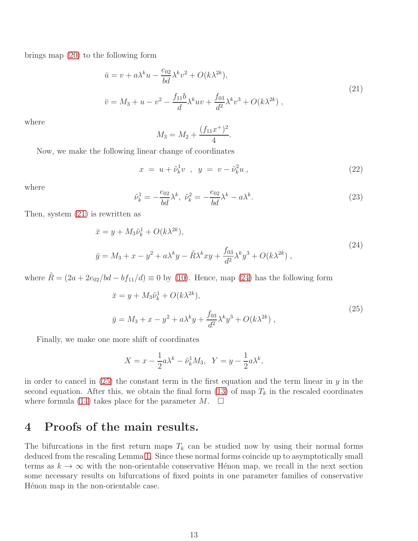brings map [\(20\)](#page-11-2) to the following form

<span id="page-12-0"></span>
$$
\bar{u} = v + a\lambda^k u - \frac{e_{02}}{bd} \lambda^k v^2 + O(k\lambda^{2k}),
$$
\n
$$
\bar{v} = M_3 + u - v^2 - \frac{f_{11}b}{d} \lambda^k u v + \frac{f_{03}}{d^2} \lambda^k v^3 + O(k\lambda^{2k}),
$$
\n(21)

where

$$
M_3 = M_2 + \frac{(f_{11}x^+)^2}{4}.
$$

Now, we make the following linear change of coordinates

$$
x = u + \tilde{\nu}_k^1 v \ , \ y = v - \tilde{\nu}_k^2 u \ , \tag{22}
$$

where

$$
\tilde{\nu}_k^1 = -\frac{e_{02}}{bd} \lambda^k, \ \tilde{\nu}_k^2 = -\frac{e_{02}}{bd} \lambda^k - a \lambda^k. \tag{23}
$$

Then, system [\(21\)](#page-12-0) is rewritten as

<span id="page-12-1"></span>
$$
\bar{x} = y + M_3 \tilde{\nu}_k^1 + O(k\lambda^{2k}),
$$
  
\n
$$
\bar{y} = M_3 + x - y^2 + a\lambda^k y - \tilde{R}\lambda^k xy + \frac{f_{03}}{d^2} \lambda^k y^3 + O(k\lambda^{2k}),
$$
\n(24)

where  $\tilde{R} = (2a + 2e_{02}/bd - bf_{11}/d) \equiv 0$  by [\(10\)](#page-5-3). Hence, map [\(24\)](#page-12-1) has the following form

<span id="page-12-2"></span>
$$
\bar{x} = y + M_3 \tilde{\nu}_k^1 + O(k\lambda^{2k}),
$$
  
\n
$$
\bar{y} = M_3 + x - y^2 + a\lambda^k y + \frac{f_{03}}{d^2} \lambda^k y^3 + O(k\lambda^{2k}),
$$
\n(25)

Finally, we make one more shift of coordinates

$$
X = x - \frac{1}{2}a\lambda^k - \tilde{\nu}_k^1 M_3, \quad Y = y - \frac{1}{2}a\lambda^k,
$$

in order to cancel in  $(25)$  the constant term in the first equation and the term linear in y in the second equation. After this, we obtain the final form [\(13\)](#page-10-3) of map  $T_k$  in the rescaled coordinates where formula [\(14\)](#page-10-0) takes place for the parameter  $M$ .  $\Box$ 

## 4 Proofs of the main results.

The bifurcations in the first return maps  $T_k$  can be studied now by using their normal forms deduced from the rescaling Lemma [1.](#page-10-0) Since these normal forms coincide up to asymptotically small terms as  $k \to \infty$  with the non-orientable conservative Hénon map, we recall in the next section some necessary results on bifurcations of fixed points in one parameter families of conservative Hénon map in the non-orientable case.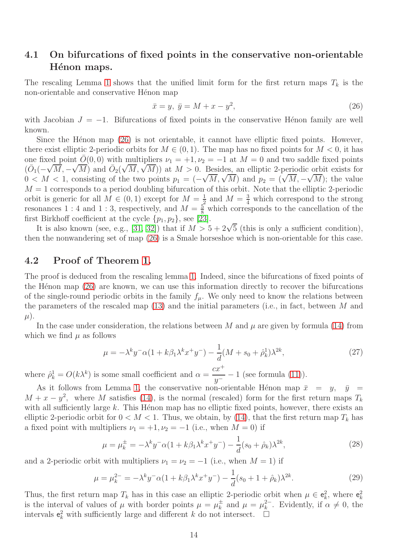## 4.1 On bifurcations of fixed points in the conservative non-orientable Hénon maps.

The rescaling Lemma [1](#page-10-0) shows that the unified limit form for the first return maps  $T_k$  is the non-orientable and conservative Hénon map

<span id="page-13-0"></span>
$$
\bar{x} = y, \ \bar{y} = M + x - y^2,\tag{26}
$$

with Jacobian  $J = -1$ . Bifurcations of fixed points in the conservative Hénon family are well known.

Since the Hénon map  $(26)$  is not orientable, it cannot have elliptic fixed points. However, there exist elliptic 2-periodic orbits for  $M \in (0, 1)$ . The map has no fixed points for  $M < 0$ , it has one fixed point  $O(0, 0)$  with multipliers  $\nu_1 = +1, \nu_2 = -1$  at  $M = 0$  and two saddle fixed points  $(\bar{O}_1(-\sqrt{M}, -\sqrt{M})$  and  $\bar{O}_2(\sqrt{M}, \sqrt{M}))$  at  $M > 0$ . Besides, an elliptic 2-periodic orbit exists for  $0 < M < 1$ , consisting of the two points  $p_1 = (-\sqrt{M}, \sqrt{M})$  and  $p_2 = (\sqrt{M}, -\sqrt{M})$ ; the value  $M = 1$  corresponds to a period doubling bifurcation of this orbit. Note that the elliptic 2-periodic orbit is generic for all  $M \in (0,1)$  except for  $M = \frac{1}{2}$  $\frac{1}{2}$  and  $M = \frac{3}{4}$  which correspond to the strong resonances 1 : 4 and 1 : 3, respectively, and  $M = \frac{5}{8}$  which corresponds to the cancellation of the first Birkhoff coefficient at the cycle  $\{p_1, p_2\}$ , see [\[23\]](#page-16-11).

It is also known (see, e.g., [\[31,](#page-16-12) [32\]](#page-16-13)) that if  $M > 5 + 2\sqrt{5}$  (this is only a sufficient condition), then the nonwandering set of map [\(26\)](#page-13-0) is a Smale horseshoe which is non-orientable for this case.

#### 4.2 Proof of Theorem [1.](#page-8-0)

The proof is deduced from the rescaling lemma [1.](#page-10-0) Indeed, since the bifurcations of fixed points of the H $\acute{e}$ non map [\(26\)](#page-13-0) are known, we can use this information directly to recover the bifurcations of the single-round periodic orbits in the family  $f_\mu$ . We only need to know the relations between the parameters of the rescaled map  $(13)$  and the initial parameters (i.e., in fact, between M and  $\mu$ ).

In the case under consideration, the relations between M and  $\mu$  are given by formula [\(14\)](#page-10-0) from which we find  $\mu$  as follows

$$
\mu = -\lambda^k y^- \alpha (1 + k\beta_1 \lambda^k x^+ y^-) - \frac{1}{d} (M + s_0 + \hat{\rho}_k^1) \lambda^{2k},\tag{27}
$$

where  $\hat{\rho}_k^1 = O(k\lambda^k)$  is some small coefficient and  $\alpha =$  $cx^+$  $\frac{2x}{y^-} - 1$  (see formula [\(11\)](#page-7-0)).

As it follows from Lemma [1,](#page-10-0) the conservative non-orientable Hénon map  $\bar{x} = y$ ,  $\bar{y} =$  $M + x - y^2$ , where M satisfies [\(14\)](#page-10-0), is the normal (rescaled) form for the first return maps  $T_k$ with all sufficiently large  $k$ . This Henon map has no elliptic fixed points, however, there exists an elliptic 2-periodic orbit for  $0 < M < 1$ . Thus, we obtain, by [\(14\)](#page-10-0), that the first return map  $T_k$  has a fixed point with multipliers  $\nu_1 = +1, \nu_2 = -1$  (i.e., when  $M = 0$ ) if

<span id="page-13-1"></span>
$$
\mu = \mu_k^{\pm} = -\lambda^k y^- \alpha (1 + k\beta_1 \lambda^k x^+ y^-) - \frac{1}{d} (s_0 + \hat{\rho}_k) \lambda^{2k}, \tag{28}
$$

and a 2-periodic orbit with multipliers  $\nu_1 = \nu_2 = -1$  (i.e., when  $M = 1$ ) if

<span id="page-13-2"></span>
$$
\mu = \mu_k^{2-} = -\lambda^k y^- \alpha (1 + k\beta_1 \lambda^k x^+ y^-) - \frac{1}{d} (s_0 + 1 + \hat{\rho}_k) \lambda^{2k}.
$$
 (29)

Thus, the first return map  $T_k$  has in this case an elliptic 2-periodic orbit when  $\mu \in \mathbf{e}_k^2$ , where  $\mathbf{e}_k^2$ is the interval of values of  $\mu$  with border points  $\mu = \mu_k^{\pm}$  and  $\mu = \mu_k^{\pm}$ . Evidently, if  $\alpha \neq 0$ , the intervals  $e_k^2$  with sufficiently large and different k do not intersect.  $\Box$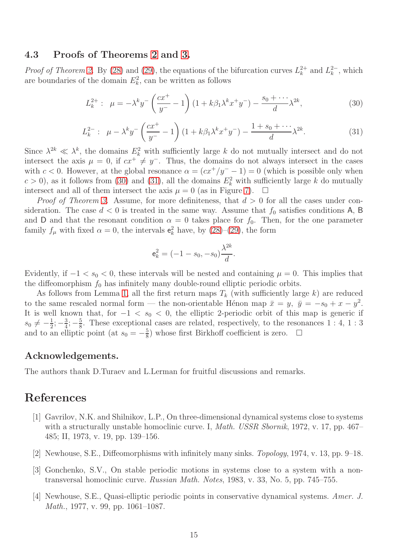#### 4.3 Proofs of Theorems [2](#page-8-1) and [3.](#page-10-1)

*Proof of Theorem [2.](#page-8-1)* By [\(28\)](#page-13-1) and [\(29\)](#page-13-2), the equations of the bifurcation curves  $L_k^{2+}$  $\lambda_k^{2+}$  and  $L_k^{2-}$ , which are boundaries of the domain  $E_k^2$ , can be written as follows

<span id="page-14-4"></span>
$$
L_k^{2+}: \ \mu = -\lambda^k y^- \left(\frac{cx^+}{y^-} - 1\right) \left(1 + k\beta_1 \lambda^k x^+ y^-\right) - \frac{s_0 + \cdots}{d} \lambda^{2k},\tag{30}
$$

<span id="page-14-5"></span>
$$
L_k^{2-} : \ \mu - \lambda^k y^- \left(\frac{cx^+}{y^-} - 1\right) \left(1 + k\beta_1 \lambda^k x^+ y^-\right) - \frac{1 + s_0 + \dots}{d} \lambda^{2k}.
$$
 (31)

Since  $\lambda^{2k} \ll \lambda^k$ , the domains  $E_k^2$  with sufficiently large k do not mutually intersect and do not intersect the axis  $\mu = 0$ , if  $cx^+ \neq y^-$ . Thus, the domains do not always intersect in the cases with  $c < 0$ . However, at the global resonance  $\alpha = (cx^{+}/y^{-} - 1) = 0$  (which is possible only when  $c > 0$ , as it follows from [\(30\)](#page-14-4) and [\(31\)](#page-14-5), all the domains  $E_k^2$  with sufficiently large k do mutually intersect and all of them intersect the axis  $\mu = 0$  (as in Figure [7\)](#page-9-1).  $\Box$ 

*Proof of Theorem [3.](#page-10-1)* Assume, for more definiteness, that  $d > 0$  for all the cases under consideration. The case  $d < 0$  is treated in the same way. Assume that  $f_0$  satisfies conditions A, B and D and that the resonant condition  $\alpha = 0$  takes place for  $f_0$ . Then, for the one parameter family  $f_{\mu}$  with fixed  $\alpha = 0$ , the intervals  $e_k^2$  have, by [\(28\)](#page-13-1)–[\(29\)](#page-13-2), the form

$$
\mathbf{e}_k^2 = (-1 - s_0, -s_0) \frac{\lambda^{2k}}{d}.
$$

Evidently, if  $-1 < s_0 < 0$ , these intervals will be nested and containing  $\mu = 0$ . This implies that the diffeomorphism  $f_0$  has infinitely many double-round elliptic periodic orbits.

As follows from Lemma [1,](#page-10-0) all the first return maps  $T_k$  (with sufficiently large k) are reduced to the same rescaled normal form — the non-orientable Hénon map  $\bar{x} = y$ ,  $\bar{y} = -s_0 + x - y^2$ . It is well known that, for  $-1 < s_0 < 0$ , the elliptic 2-periodic orbit of this map is generic if  $s_0 \neq -\frac{1}{2}$  $\frac{1}{2}$ ;  $-\frac{3}{4}$  $\frac{3}{4}$ ;  $-\frac{5}{8}$  $\frac{5}{8}$ . These exceptional cases are related, respectively, to the resonances 1 : 4, 1 : 3 and to an elliptic point (at  $s_0 = -\frac{5}{8}$  $\frac{5}{8}$ ) whose first Birkhoff coefficient is zero.  $\Box$ 

#### Acknowledgements.

The authors thank D.Turaev and L.Lerman for fruitful discussions and remarks.

## <span id="page-14-0"></span>References

- [1] Gavrilov, N.K. and Shilnikov, L.P., On three-dimensional dynamical systems close to systems with a structurally unstable homoclinic curve. I, *Math. USSR Sbornik*, 1972, v. 17, pp. 467– 485; II, 1973, v. 19, pp. 139–156.
- <span id="page-14-2"></span><span id="page-14-1"></span>[2] Newhouse, S.E., Diffeomorphisms with infinitely many sinks. Topology, 1974, v. 13, pp. 9–18.
- [3] Gonchenko, S.V., On stable periodic motions in systems close to a system with a nontransversal homoclinic curve. Russian Math. Notes, 1983, v. 33, No. 5, pp. 745–755.
- <span id="page-14-3"></span>[4] Newhouse, S.E., Quasi-elliptic periodic points in conservative dynamical systems. Amer. J. Math., 1977, v. 99, pp. 1061–1087.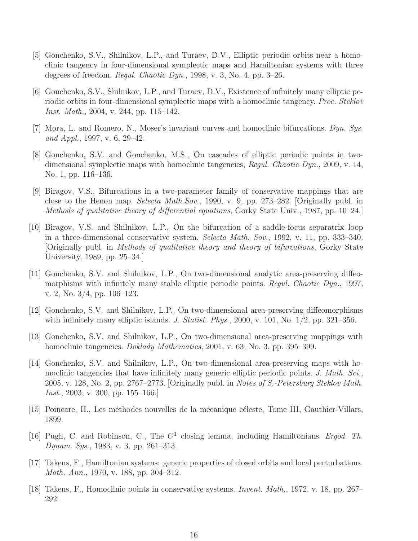- <span id="page-15-4"></span>[5] Gonchenko, S.V., Shilnikov, L.P., and Turaev, D.V., Elliptic periodic orbits near a homoclinic tangency in four-dimensional symplectic maps and Hamiltonian systems with three degrees of freedom. *Regul. Chaotic Dyn.*, 1998, v. 3, No. 4, pp.  $3-26$ .
- <span id="page-15-5"></span>[6] Gonchenko, S.V., Shilnikov, L.P., and Turaev, D.V., Existence of infinitely many elliptic periodic orbits in four-dimensional symplectic maps with a homoclinic tangency. Proc. Steklov Inst. Math., 2004, v. 244, pp. 115–142.
- <span id="page-15-1"></span><span id="page-15-0"></span>[7] Mora, L. and Romero, N., Moser's invariant curves and homoclinic bifurcations. Dyn. Sys. and Appl., 1997, v. 6, 29–42.
- [8] Gonchenko, S.V. and Gonchenko, M.S., On cascades of elliptic periodic points in twodimensional symplectic maps with homoclinic tangencies, Regul. Chaotic Dyn., 2009, v. 14, No. 1, pp. 116–136.
- <span id="page-15-6"></span>[9] Biragov, V.S., Bifurcations in a two-parameter family of conservative mappings that are close to the Henon map. Selecta Math.Sov., 1990, v. 9, pp. 273–282. [Originally publ. in Methods of qualitative theory of differential equations, Gorky State Univ., 1987, pp. 10–24.]
- <span id="page-15-7"></span>[10] Biragov, V.S. and Shilnikov, L.P., On the bifurcation of a saddle-focus separatrix loop in a three-dimensional conservative system. Selecta Math. Sov., 1992, v. 11, pp. 333–340. [Originally publ. in Methods of qualitative theory and theory of bifurcations, Gorky State University, 1989, pp. 25–34.]
- <span id="page-15-12"></span>[11] Gonchenko, S.V. and Shilnikov, L.P., On two-dimensional analytic area-preserving diffeomorphisms with infinitely many stable elliptic periodic points. Regul. Chaotic Dyn., 1997, v. 2, No. 3/4, pp. 106–123.
- <span id="page-15-13"></span><span id="page-15-2"></span>[12] Gonchenko, S.V. and Shilnikov, L.P., On two-dimensional area-preserving diffeomorphisms with infinitely many elliptic islands. J. Statist. Phys., 2000, v. 101, No. 1/2, pp. 321–356.
- <span id="page-15-3"></span>[13] Gonchenko, S.V. and Shilnikov, L.P., On two-dimensional area-preserving mappings with homoclinic tangencies. *Doklady Mathematics*, 2001, v. 63, No. 3, pp. 395–399.
- [14] Gonchenko, S.V. and Shilnikov, L.P., On two-dimensional area-preserving maps with homoclinic tangencies that have infinitely many generic elliptic periodic points. J. Math. Sci., 2005, v. 128, No. 2, pp. 2767–2773. [Originally publ. in Notes of S.-Petersburg Steklov Math. *Inst.*, 2003, v. 300, pp. 155–166.
- <span id="page-15-9"></span><span id="page-15-8"></span>[15] Poincare, H., Les méthodes nouvelles de la mécanique céleste, Tome III, Gauthier-Villars, 1899.
- [16] Pugh, C. and Robinson, C., The  $C<sup>1</sup>$  closing lemma, including Hamiltonians. Ergod. Th. Dynam. Sys., 1983, v. 3, pp. 261–313.
- <span id="page-15-10"></span>[17] Takens, F., Hamiltonian systems: generic properties of closed orbits and local perturbations. Math. Ann., 1970, v. 188, pp. 304–312.
- <span id="page-15-11"></span>[18] Takens, F., Homoclinic points in conservative systems. Invent. Math., 1972, v. 18, pp. 267– 292.